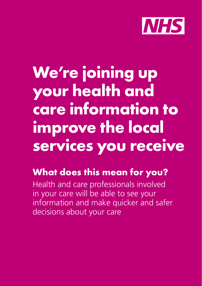

# **We're joining up your health and care information to improve the local services you receive**

# **What does this mean for you?**

Health and care professionals involved in your care will be able to see your information and make quicker and safer decisions about your care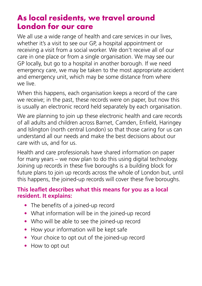#### **As local residents, we travel around London for our care**

We all use a wide range of health and care services in our lives, whether it's a visit to see our GP, a hospital appointment or receiving a visit from a social worker. We don't receive all of our care in one place or from a single organisation. We may see our GP locally, but go to a hospital in another borough. If we need emergency care, we may be taken to the most appropriate accident and emergency unit, which may be some distance from where we live.

When this happens, each organisation keeps a record of the care we receive; in the past, these records were on paper, but now this is usually an electronic record held separately by each organisation.

We are planning to join up these electronic health and care records of all adults and children across Barnet, Camden, Enfield, Haringey and Islington (north central London) so that those caring for us can understand all our needs and make the best decisions about our care with us, and for us.

Health and care professionals have shared information on paper for many years – we now plan to do this using digital technology. Joining up records in these five boroughs is a building block for future plans to join up records across the whole of London but, until this happens, the joined-up records will cover these five boroughs.

#### **This leaflet describes what this means for you as a local resident. It explains:**

- The benefits of a joined-up record
- What information will be in the joined-up record
- Who will be able to see the joined-up record
- How your information will be kept safe
- Your choice to opt out of the joined-up record
- How to opt out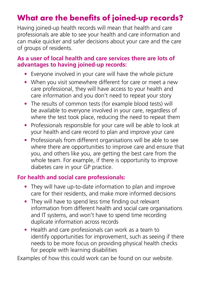### **What are the benefits of joined-up records?**

Having joined-up health records will mean that health and care professionals are able to see your health and care information and can make quicker and safer decisions about your care and the care of groups of residents.

#### **As a user of local health and care services there are lots of advantages to having joined-up records:**

- Everyone involved in your care will have the whole picture
- When you visit somewhere different for care or meet a new care professional, they will have access to your health and care information and you don't need to repeat your story
- The results of common tests (for example blood tests) will be available to everyone involved in your care, regardless of where the test took place, reducing the need to repeat them
- Professionals responsible for your care will be able to look at your health and care record to plan and improve your care
- Professionals from different organisations will be able to see where there are opportunities to improve care and ensure that you, and others like you, are getting the best care from the whole team. For example, if there is opportunity to improve diabetes care in your GP practice.

#### **For health and social care professionals:**

- They will have up-to-date information to plan and improve care for their residents, and make more informed decisions
- They will have to spend less time finding out relevant information from different health and social care organisations and IT systems, and won't have to spend time recording duplicate information across records
- Health and care professionals can work as a team to identify opportunities for improvement, such as seeing if there needs to be more focus on providing physical health checks for people with learning disabilities

Examples of how this could work can be found on our website.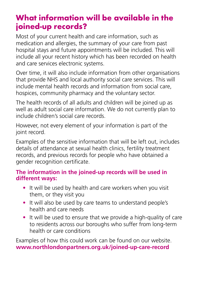### **What information will be available in the joined-up records?**

Most of your current health and care information, such as medication and allergies, the summary of your care from past hospital stays and future appointments will be included. This will include all your recent history which has been recorded on health and care services electronic systems.

Over time, it will also include information from other organisations that provide NHS and local authority social care services. This will include mental health records and information from social care, hospices, community pharmacy and the voluntary sector.

The health records of all adults and children will be joined up as well as adult social care information. We do not currently plan to include children's social care records.

However, not every element of your information is part of the joint record.

Examples of the sensitive information that will be left out, includes details of attendance at sexual health clinics, fertility treatment records, and previous records for people who have obtained a gender recognition certificate.

#### **The information in the joined-up records will be used in different ways:**

- It will be used by health and care workers when you visit them, or they visit you
- It will also be used by care teams to understand people's health and care needs
- It will be used to ensure that we provide a high-quality of care to residents across our boroughs who suffer from long-term health or care conditions

Examples of how this could work can be found on our website. **www.northlondonpartners.org.uk/joined-up-care-record**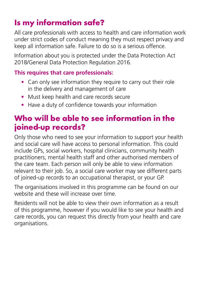## **Is my information safe?**

All care professionals with access to health and care information work under strict codes of conduct meaning they must respect privacy and keep all information safe. Failure to do so is a serious offence.

Information about you is protected under the Data Protection Act 2018/General Data Protection Regulation 2016.

#### **This requires that care professionals:**

- Can only see information they require to carry out their role in the delivery and management of care
- Must keep health and care records secure
- Have a duty of confidence towards your information

### **Who will be able to see information in the joined-up records?**

Only those who need to see your information to support your health and social care will have access to personal information. This could include GPs, social workers, hospital clinicians, community health practitioners, mental health staff and other authorised members of the care team. Each person will only be able to view information relevant to their job. So, a social care worker may see different parts of joined-up records to an occupational therapist, or your GP.

The organisations involved in this programme can be found on our website and these will increase over time.

Residents will not be able to view their own information as a result of this programme, however if you would like to see your health and care records, you can request this directly from your health and care organisations.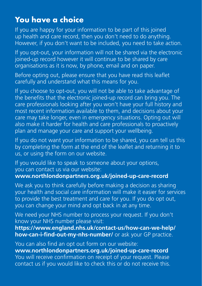### **You have a choice**

If you are happy for your information to be part of this joined up health and care record, then you don't need to do anything. However, if you don't want to be included, you need to take action.

If you opt-out, your information will not be shared via the electronic joined-up record however it will continue to be shared by care organisations as it is now, by phone, email and on paper.

Before opting out, please ensure that you have read this leaflet carefully and understand what this means for you.

If you choose to opt-out, you will not be able to take advantage of the benefits that the electronic joined-up record can bring you. The care professionals looking after you won't have your full history and most recent information available to them, and decisions about your care may take longer, even in emergency situations. Opting out will also make it harder for health and care professionals to proactively plan and manage your care and support your wellbeing.

If you do not want your information to be shared, you can tell us this by completing the form at the end of the leaflet and returning it to us, or using the form on our website.

If you would like to speak to someone about your options, you can contact us via our website: **www.northlondonpartners.org.uk/joined-up-care-record**

We ask you to think carefully before making a decision as sharing your health and social care information will make it easier for services to provide the best treatment and care for you. If you do opt out, you can change your mind and opt back in at any time.

We need your NHS number to process your request. If you don't know your NHS number please visit:

**https://www.england.nhs.uk/contact-us/how-can-we-help/ how-can-i-find-out-my-nhs-number/** or ask your GP practice.

You can also find an opt out form on our website: **www.northlondonpartners.org.uk/joined-up-care-record** You will receive confirmation on receipt of your request. Please contact us if you would like to check this or do not receive this.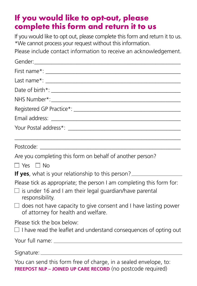### **If you would like to opt-out, please complete this form and return it to us**

If you would like to opt out, please complete this form and return it to us. \*We cannot process your request without this information.

Please include contact information to receive an acknowledgement.

| Are you completing this form on behalf of another person?                                                                                                  |
|------------------------------------------------------------------------------------------------------------------------------------------------------------|
| $\Box$ Yes $\Box$ No                                                                                                                                       |
| <b>If yes</b> , what is your relationship to this person?                                                                                                  |
| Please tick as appropriate; the person I am completing this form for:<br>$\Box$ is under 16 and I am their legal guardian/have parental<br>responsibility. |
| $\Box$ does not have capacity to give consent and I have lasting power<br>of attorney for health and welfare.                                              |
| Please tick the box below:<br>$\Box$ I have read the leaflet and understand consequences of opting out                                                     |
|                                                                                                                                                            |
|                                                                                                                                                            |
| You can send this form free of charge, in a sealed envelope, to:<br>FREEPOST NLP - JOINED UP CARE RECORD (no postcode required)                            |